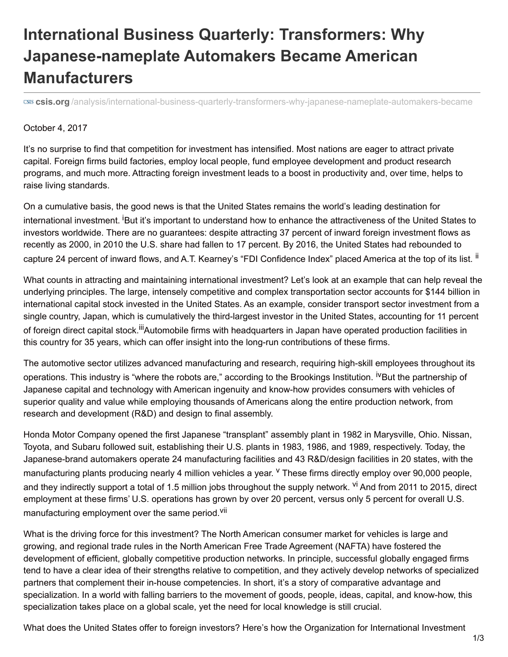## **International Business Quarterly: Transformers: Why Japanese-nameplate Automakers Became American Manufacturers**

**csis.org** [/analysis/international-business-quarterly-transformers-why-japanese-nameplate-automakers-became](https://www.csis.org/analysis/international-business-quarterly-transformers-why-japanese-nameplate-automakers-became)

## October 4, 2017

It's no surprise to find that competition for investment has intensified. Most nations are eager to attract private capital. Foreign firms build factories, employ local people, fund employee development and product research programs, and much more. Attracting foreign investment leads to a boost in productivity and, over time, helps to raise living standards.

On a cumulative basis, the good news is that the United States remains the world's leading destination for international investment. <sup>i</sup>But it's important to understand how to enhance the attractiveness of the United States to investors worldwide. There are no guarantees: despite attracting 37 percent of inward foreign investment flows as recently as 2000, in 2010 the U.S. share had fallen to 17 percent. By 2016, the United States had rebounded to capture 24 percent of inward flows, and A.T. Kearney's "FDI Confidence Index" placed America at the top of its list. <sup>ii</sup>

What counts in attracting and maintaining international investment? Let's look at an example that can help reveal the underlying principles. The large, intensely competitive and complex transportation sector accounts for \$144 billion in international capital stock invested in the United States. As an example, consider transport sector investment from a single country, Japan, which is cumulatively the third-largest investor in the United States, accounting for 11 percent of foreign direct capital stock.<sup>iii</sup>Automobile firms with headquarters in Japan have operated production facilities in this country for 35 years, which can offer insight into the long-run contributions of these firms.

The automotive sector utilizes advanced manufacturing and research, requiring high-skill employees throughout its operations. This industry is "where the robots are," according to the Brookings Institution. <sup>iv</sup>But the partnership of Japanese capital and technology with American ingenuity and know-how provides consumers with vehicles of superior quality and value while employing thousands of Americans along the entire production network, from research and development (R&D) and design to final assembly.

Honda Motor Company opened the first Japanese "transplant" assembly plant in 1982 in Marysville, Ohio. Nissan, Toyota, and Subaru followed suit, establishing their U.S. plants in 1983, 1986, and 1989, respectively. Today, the Japanese-brand automakers operate 24 manufacturing facilities and 43 R&D/design facilities in 20 states, with the manufacturing plants producing nearly 4 million vehicles a year. <sup>v</sup> These firms directly employ over 90,000 people, and they indirectly support a total of 1.5 million jobs throughout the supply network. <sup>vi</sup> And from 2011 to 2015, direct employment at these firms' U.S. operations has grown by over 20 percent, versus only 5 percent for overall U.S. manufacturing employment over the same period.<sup>vii</sup>

What is the driving force for this investment? The North American consumer market for vehicles is large and growing, and regional trade rules in the North American Free Trade Agreement (NAFTA) have fostered the development of efficient, globally competitive production networks. In principle, successful globally engaged firms tend to have a clear idea of their strengths relative to competition, and they actively develop networks of specialized partners that complement their in-house competencies. In short, it's a story of comparative advantage and specialization. In a world with falling barriers to the movement of goods, people, ideas, capital, and know-how, this specialization takes place on a global scale, yet the need for local knowledge is still crucial.

What does the United States offer to foreign investors? Here's how the Organization for International Investment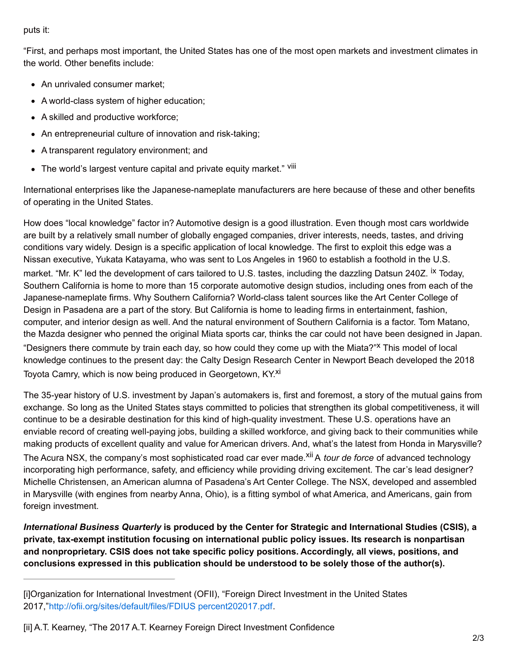puts it:

"First, and perhaps most important, the United States has one of the most open markets and investment climates in the world. Other benefits include:

- An unrivaled consumer market:
- A world-class system of higher education;
- A skilled and productive workforce;
- An entrepreneurial culture of innovation and risk-taking;
- A transparent regulatory environment; and
- The world's largest venture capital and private equity market." Vill

International enterprises like the Japanese-nameplate manufacturers are here because of these and other benefits of operating in the United States.

How does "local knowledge" factor in? Automotive design is a good illustration. Even though most cars worldwide are built by a relatively small number of globally engaged companies, driver interests, needs, tastes, and driving conditions vary widely. Design is a specific application of local knowledge. The first to exploit this edge was a Nissan executive, Yukata Katayama, who was sent to Los Angeles in 1960 to establish a foothold in the U.S. market. "Mr. K" led the development of cars tailored to U.S. tastes, including the dazzling Datsun 240Z. <sup>ix</sup> Today, Southern California is home to more than 15 corporate automotive design studios, including ones from each of the Japanese-nameplate firms. Why Southern California? World-class talent sources like the Art Center College of Design in Pasadena are a part of the story. But California is home to leading firms in entertainment, fashion, computer, and interior design as well. And the natural environment of Southern California is a factor. Tom Matano, the Mazda designer who penned the original Miata sports car, thinks the car could not have been designed in Japan. "Designers there commute by train each day, so how could they come up with the Miata?"<sup>x</sup> This model of local knowledge continues to the present day: the Calty Design Research Center in Newport Beach developed the 2018 Toyota Camry, which is now being produced in Georgetown, KY.<sup>xi</sup>

The 35-year history of U.S. investment by Japan's automakers is, first and foremost, a story of the mutual gains from exchange. So long as the United States stays committed to policies that strengthen its global competitiveness, it will continue to be a desirable destination for this kind of high-quality investment. These U.S. operations have an enviable record of creating well-paying jobs, building a skilled workforce, and giving back to their communities while making products of excellent quality and value for American drivers. And, what's the latest from Honda in Marysville? The Acura NSX, the company's most sophisticated road car ever made. xii A *tour de force* of advanced technology incorporating high performance, safety, and efficiency while providing driving excitement. The car's lead designer? Michelle Christensen, an American alumna of Pasadena's Art Center College. The NSX, developed and assembled in Marysville (with engines from nearby Anna, Ohio), is a fitting symbol of what America, and Americans, gain from foreign investment.

*International Business Quarterly* **is produced by the Center for Strategic and International Studies (CSIS), a private, tax-exempt institution focusing on international public policy issues. Its research is nonpartisan and nonproprietary. CSIS does not take specific policy positions. Accordingly, all views, positions, and conclusions expressed in this publication should be understood to be solely those of the author(s).**

<sup>[</sup>i]Organization for International Investment (OFII), "Foreign Direct Investment in the United States 2017,"[http://ofii.org/sites/default/files/FDIUS](http://ofii.org/sites/default/files/FDIUS 2017.pdf) percent202017.pdf.